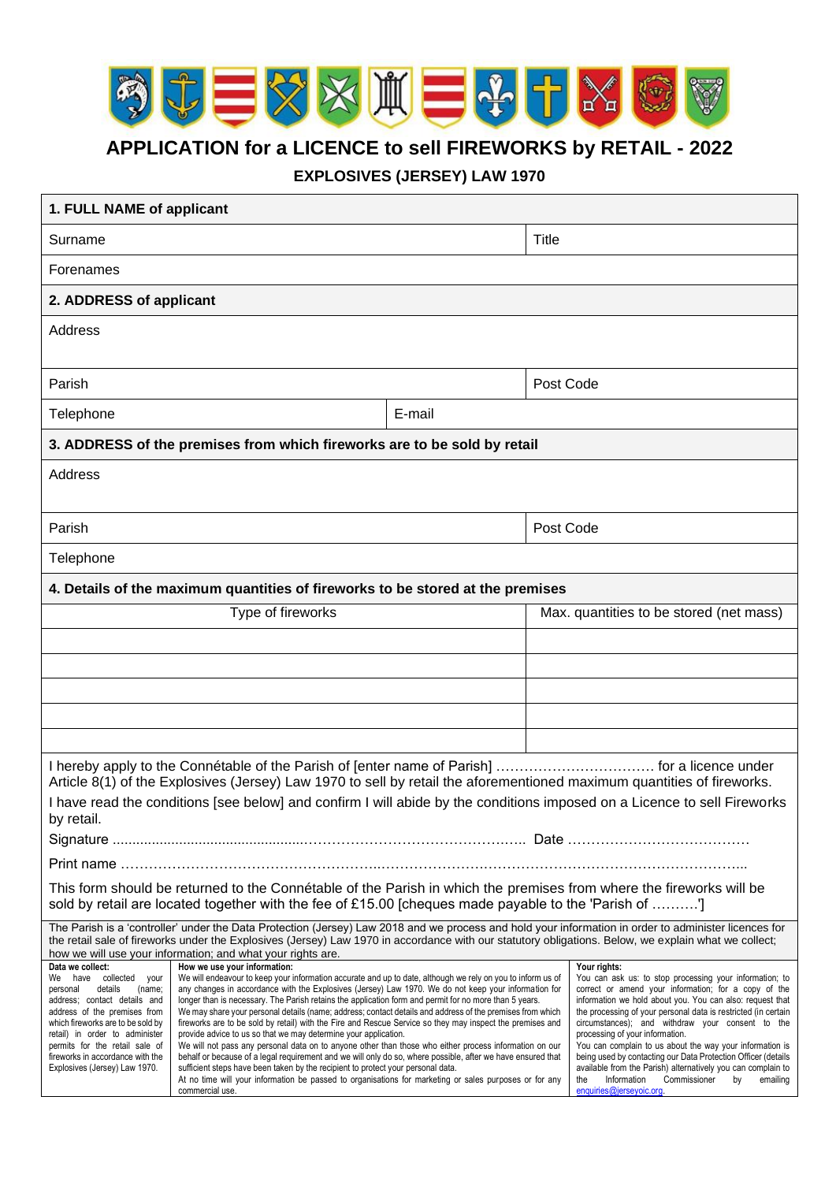

**APPLICATION for a LICENCE to sell FIREWORKS by RETAIL - 2022**

**EXPLOSIVES (JERSEY) LAW 1970**

| 1. FULL NAME of applicant                                                                                                                                                                                                                                                                                                                                                    |                                                                                                                                                                                                                                                                                                                                                                                                                                                                                                                                                                                                                                                                                                                                                                                                                                                                                                                                                                                                                                                                                                      |        |                                                                                                                                                                                                                                                                                                                                                                                                                                                                                                                                                                                                                                        |  |  |
|------------------------------------------------------------------------------------------------------------------------------------------------------------------------------------------------------------------------------------------------------------------------------------------------------------------------------------------------------------------------------|------------------------------------------------------------------------------------------------------------------------------------------------------------------------------------------------------------------------------------------------------------------------------------------------------------------------------------------------------------------------------------------------------------------------------------------------------------------------------------------------------------------------------------------------------------------------------------------------------------------------------------------------------------------------------------------------------------------------------------------------------------------------------------------------------------------------------------------------------------------------------------------------------------------------------------------------------------------------------------------------------------------------------------------------------------------------------------------------------|--------|----------------------------------------------------------------------------------------------------------------------------------------------------------------------------------------------------------------------------------------------------------------------------------------------------------------------------------------------------------------------------------------------------------------------------------------------------------------------------------------------------------------------------------------------------------------------------------------------------------------------------------------|--|--|
| Surname                                                                                                                                                                                                                                                                                                                                                                      |                                                                                                                                                                                                                                                                                                                                                                                                                                                                                                                                                                                                                                                                                                                                                                                                                                                                                                                                                                                                                                                                                                      |        | <b>Title</b>                                                                                                                                                                                                                                                                                                                                                                                                                                                                                                                                                                                                                           |  |  |
| Forenames                                                                                                                                                                                                                                                                                                                                                                    |                                                                                                                                                                                                                                                                                                                                                                                                                                                                                                                                                                                                                                                                                                                                                                                                                                                                                                                                                                                                                                                                                                      |        |                                                                                                                                                                                                                                                                                                                                                                                                                                                                                                                                                                                                                                        |  |  |
| 2. ADDRESS of applicant                                                                                                                                                                                                                                                                                                                                                      |                                                                                                                                                                                                                                                                                                                                                                                                                                                                                                                                                                                                                                                                                                                                                                                                                                                                                                                                                                                                                                                                                                      |        |                                                                                                                                                                                                                                                                                                                                                                                                                                                                                                                                                                                                                                        |  |  |
| Address                                                                                                                                                                                                                                                                                                                                                                      |                                                                                                                                                                                                                                                                                                                                                                                                                                                                                                                                                                                                                                                                                                                                                                                                                                                                                                                                                                                                                                                                                                      |        |                                                                                                                                                                                                                                                                                                                                                                                                                                                                                                                                                                                                                                        |  |  |
|                                                                                                                                                                                                                                                                                                                                                                              |                                                                                                                                                                                                                                                                                                                                                                                                                                                                                                                                                                                                                                                                                                                                                                                                                                                                                                                                                                                                                                                                                                      |        |                                                                                                                                                                                                                                                                                                                                                                                                                                                                                                                                                                                                                                        |  |  |
| Parish                                                                                                                                                                                                                                                                                                                                                                       |                                                                                                                                                                                                                                                                                                                                                                                                                                                                                                                                                                                                                                                                                                                                                                                                                                                                                                                                                                                                                                                                                                      |        | Post Code                                                                                                                                                                                                                                                                                                                                                                                                                                                                                                                                                                                                                              |  |  |
| Telephone                                                                                                                                                                                                                                                                                                                                                                    |                                                                                                                                                                                                                                                                                                                                                                                                                                                                                                                                                                                                                                                                                                                                                                                                                                                                                                                                                                                                                                                                                                      | E-mail |                                                                                                                                                                                                                                                                                                                                                                                                                                                                                                                                                                                                                                        |  |  |
| 3. ADDRESS of the premises from which fireworks are to be sold by retail                                                                                                                                                                                                                                                                                                     |                                                                                                                                                                                                                                                                                                                                                                                                                                                                                                                                                                                                                                                                                                                                                                                                                                                                                                                                                                                                                                                                                                      |        |                                                                                                                                                                                                                                                                                                                                                                                                                                                                                                                                                                                                                                        |  |  |
| Address                                                                                                                                                                                                                                                                                                                                                                      |                                                                                                                                                                                                                                                                                                                                                                                                                                                                                                                                                                                                                                                                                                                                                                                                                                                                                                                                                                                                                                                                                                      |        |                                                                                                                                                                                                                                                                                                                                                                                                                                                                                                                                                                                                                                        |  |  |
|                                                                                                                                                                                                                                                                                                                                                                              |                                                                                                                                                                                                                                                                                                                                                                                                                                                                                                                                                                                                                                                                                                                                                                                                                                                                                                                                                                                                                                                                                                      |        |                                                                                                                                                                                                                                                                                                                                                                                                                                                                                                                                                                                                                                        |  |  |
| Parish                                                                                                                                                                                                                                                                                                                                                                       |                                                                                                                                                                                                                                                                                                                                                                                                                                                                                                                                                                                                                                                                                                                                                                                                                                                                                                                                                                                                                                                                                                      |        | Post Code                                                                                                                                                                                                                                                                                                                                                                                                                                                                                                                                                                                                                              |  |  |
| Telephone                                                                                                                                                                                                                                                                                                                                                                    |                                                                                                                                                                                                                                                                                                                                                                                                                                                                                                                                                                                                                                                                                                                                                                                                                                                                                                                                                                                                                                                                                                      |        |                                                                                                                                                                                                                                                                                                                                                                                                                                                                                                                                                                                                                                        |  |  |
|                                                                                                                                                                                                                                                                                                                                                                              | 4. Details of the maximum quantities of fireworks to be stored at the premises                                                                                                                                                                                                                                                                                                                                                                                                                                                                                                                                                                                                                                                                                                                                                                                                                                                                                                                                                                                                                       |        |                                                                                                                                                                                                                                                                                                                                                                                                                                                                                                                                                                                                                                        |  |  |
| Type of fireworks                                                                                                                                                                                                                                                                                                                                                            |                                                                                                                                                                                                                                                                                                                                                                                                                                                                                                                                                                                                                                                                                                                                                                                                                                                                                                                                                                                                                                                                                                      |        | Max. quantities to be stored (net mass)                                                                                                                                                                                                                                                                                                                                                                                                                                                                                                                                                                                                |  |  |
|                                                                                                                                                                                                                                                                                                                                                                              |                                                                                                                                                                                                                                                                                                                                                                                                                                                                                                                                                                                                                                                                                                                                                                                                                                                                                                                                                                                                                                                                                                      |        |                                                                                                                                                                                                                                                                                                                                                                                                                                                                                                                                                                                                                                        |  |  |
|                                                                                                                                                                                                                                                                                                                                                                              |                                                                                                                                                                                                                                                                                                                                                                                                                                                                                                                                                                                                                                                                                                                                                                                                                                                                                                                                                                                                                                                                                                      |        |                                                                                                                                                                                                                                                                                                                                                                                                                                                                                                                                                                                                                                        |  |  |
|                                                                                                                                                                                                                                                                                                                                                                              |                                                                                                                                                                                                                                                                                                                                                                                                                                                                                                                                                                                                                                                                                                                                                                                                                                                                                                                                                                                                                                                                                                      |        |                                                                                                                                                                                                                                                                                                                                                                                                                                                                                                                                                                                                                                        |  |  |
|                                                                                                                                                                                                                                                                                                                                                                              |                                                                                                                                                                                                                                                                                                                                                                                                                                                                                                                                                                                                                                                                                                                                                                                                                                                                                                                                                                                                                                                                                                      |        |                                                                                                                                                                                                                                                                                                                                                                                                                                                                                                                                                                                                                                        |  |  |
| Article 8(1) of the Explosives (Jersey) Law 1970 to sell by retail the aforementioned maximum quantities of fireworks.<br>I have read the conditions [see below] and confirm I will abide by the conditions imposed on a Licence to sell Fireworks                                                                                                                           |                                                                                                                                                                                                                                                                                                                                                                                                                                                                                                                                                                                                                                                                                                                                                                                                                                                                                                                                                                                                                                                                                                      |        |                                                                                                                                                                                                                                                                                                                                                                                                                                                                                                                                                                                                                                        |  |  |
| by retail.                                                                                                                                                                                                                                                                                                                                                                   |                                                                                                                                                                                                                                                                                                                                                                                                                                                                                                                                                                                                                                                                                                                                                                                                                                                                                                                                                                                                                                                                                                      |        |                                                                                                                                                                                                                                                                                                                                                                                                                                                                                                                                                                                                                                        |  |  |
| Print name ……………………………………………………………………………                                                                                                                                                                                                                                                                                                                                     |                                                                                                                                                                                                                                                                                                                                                                                                                                                                                                                                                                                                                                                                                                                                                                                                                                                                                                                                                                                                                                                                                                      |        |                                                                                                                                                                                                                                                                                                                                                                                                                                                                                                                                                                                                                                        |  |  |
| This form should be returned to the Connétable of the Parish in which the premises from where the fireworks will be<br>sold by retail are located together with the fee of £15.00 [cheques made payable to the 'Parish of ']                                                                                                                                                 |                                                                                                                                                                                                                                                                                                                                                                                                                                                                                                                                                                                                                                                                                                                                                                                                                                                                                                                                                                                                                                                                                                      |        |                                                                                                                                                                                                                                                                                                                                                                                                                                                                                                                                                                                                                                        |  |  |
| The Parish is a 'controller' under the Data Protection (Jersey) Law 2018 and we process and hold your information in order to administer licences for<br>the retail sale of fireworks under the Explosives (Jersey) Law 1970 in accordance with our statutory obligations. Below, we explain what we collect;<br>how we will use your information; and what your rights are. |                                                                                                                                                                                                                                                                                                                                                                                                                                                                                                                                                                                                                                                                                                                                                                                                                                                                                                                                                                                                                                                                                                      |        |                                                                                                                                                                                                                                                                                                                                                                                                                                                                                                                                                                                                                                        |  |  |
| Data we collect:<br>We have collected your<br>details<br>(name;<br>personal<br>address; contact details and<br>address of the premises from<br>which fireworks are to be sold by<br>retail) in order to administer<br>permits for the retail sale of<br>fireworks in accordance with the<br>Explosives (Jersey) Law 1970.                                                    | How we use your information:<br>We will endeavour to keep your information accurate and up to date, although we rely on you to inform us of<br>any changes in accordance with the Explosives (Jersey) Law 1970. We do not keep your information for<br>longer than is necessary. The Parish retains the application form and permit for no more than 5 years.<br>We may share your personal details (name; address; contact details and address of the premises from which<br>fireworks are to be sold by retail) with the Fire and Rescue Service so they may inspect the premises and<br>provide advice to us so that we may determine your application.<br>We will not pass any personal data on to anyone other than those who either process information on our<br>behalf or because of a legal requirement and we will only do so, where possible, after we have ensured that<br>sufficient steps have been taken by the recipient to protect your personal data.<br>At no time will your information be passed to organisations for marketing or sales purposes or for any<br>commercial use. |        | Your rights:<br>You can ask us: to stop processing your information; to<br>correct or amend your information; for a copy of the<br>information we hold about you. You can also: request that<br>the processing of your personal data is restricted (in certain<br>circumstances); and withdraw your consent to the<br>processing of your information.<br>You can complain to us about the way your information is<br>being used by contacting our Data Protection Officer (details<br>available from the Parish) alternatively you can complain to<br>the<br>Information<br>Commissioner<br>emailing<br>by<br>enquiries@jerseyoic.org. |  |  |